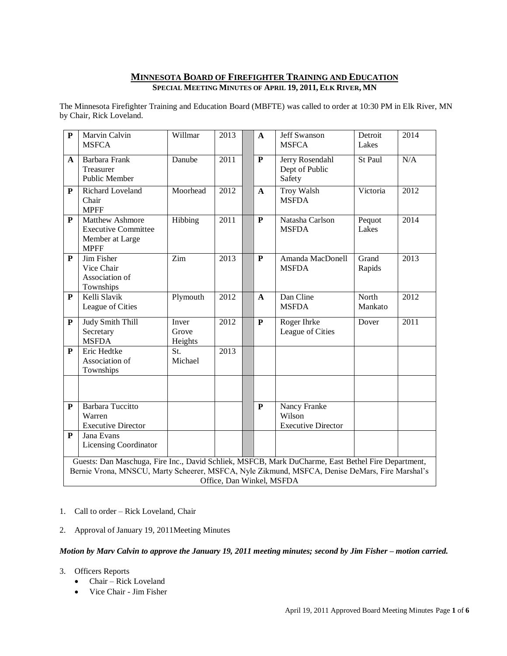# **MINNESOTA BOARD OF FIREFIGHTER TRAINING AND EDUCATION SPECIAL MEETING MINUTES OF APRIL 19, 2011, ELK RIVER, MN**

The Minnesota Firefighter Training and Education Board (MBFTE) was called to order at 10:30 PM in Elk River, MN by Chair, Rick Loveland.

| $\mathbf{P}$                                                                                                                                                                                       | Marvin Calvin<br><b>MSFCA</b>                                                   | Willmar                   | 2013 |  | $\mathbf{A}$ | Jeff Swanson<br><b>MSFCA</b>                        | Detroit<br>Lakes | 2014 |
|----------------------------------------------------------------------------------------------------------------------------------------------------------------------------------------------------|---------------------------------------------------------------------------------|---------------------------|------|--|--------------|-----------------------------------------------------|------------------|------|
| $\mathbf{A}$                                                                                                                                                                                       | Barbara Frank<br>Treasurer<br><b>Public Member</b>                              | Danube                    | 2011 |  | ${\bf P}$    | Jerry Rosendahl<br>Dept of Public<br>Safety         | St Paul          | N/A  |
| ${\bf P}$                                                                                                                                                                                          | Richard Loveland<br>Chair<br><b>MPFF</b>                                        | Moorhead                  | 2012 |  | $\mathbf{A}$ | <b>Troy Walsh</b><br><b>MSFDA</b>                   | Victoria         | 2012 |
| ${\bf P}$                                                                                                                                                                                          | Matthew Ashmore<br><b>Executive Committee</b><br>Member at Large<br><b>MPFF</b> | Hibbing                   | 2011 |  | ${\bf P}$    | Natasha Carlson<br><b>MSFDA</b>                     | Pequot<br>Lakes  | 2014 |
| ${\bf P}$                                                                                                                                                                                          | Jim Fisher<br>Vice Chair<br>Association of<br>Townships                         | Zim                       | 2013 |  | ${\bf P}$    | Amanda MacDonell<br><b>MSFDA</b>                    | Grand<br>Rapids  | 2013 |
| $\mathbf{P}$                                                                                                                                                                                       | Kelli Slavik<br>League of Cities                                                | Plymouth                  | 2012 |  | $\mathbf{A}$ | Dan Cline<br><b>MSFDA</b>                           | North<br>Mankato | 2012 |
| ${\bf P}$                                                                                                                                                                                          | Judy Smith Thill<br>Secretary<br><b>MSFDA</b>                                   | Inver<br>Grove<br>Heights | 2012 |  | ${\bf P}$    | Roger Ihrke<br>League of Cities                     | Dover            | 2011 |
| ${\bf P}$                                                                                                                                                                                          | Eric Hedtke<br>Association of<br>Townships                                      | St.<br>Michael            | 2013 |  |              |                                                     |                  |      |
|                                                                                                                                                                                                    |                                                                                 |                           |      |  |              |                                                     |                  |      |
| $\mathbf{P}$                                                                                                                                                                                       | <b>Barbara Tuccitto</b><br>Warren<br><b>Executive Director</b>                  |                           |      |  | P            | Nancy Franke<br>Wilson<br><b>Executive Director</b> |                  |      |
| $\mathbf{P}$                                                                                                                                                                                       | Jana Evans<br><b>Licensing Coordinator</b>                                      |                           |      |  |              |                                                     |                  |      |
| Guests: Dan Maschuga, Fire Inc., David Schliek, MSFCB, Mark DuCharme, East Bethel Fire Department,<br>Damie Vrano, MNCCU Morty Cohoarar, MCCCA, Nyle Zilmund, MCCCA, Danice DeMors, Eiro Marshal's |                                                                                 |                           |      |  |              |                                                     |                  |      |

Bernie Vrona, MNSCU, Marty Scheerer, MSFCA, Nyle Zikmund, MSFCA, Denise DeMars, Fire Marshal's Office, Dan Winkel, MSFDA

- 1. Call to order Rick Loveland, Chair
- 2. Approval of January 19, 2011Meeting Minutes

## *Motion by Marv Calvin to approve the January 19, 2011 meeting minutes; second by Jim Fisher – motion carried.*

- 3. Officers Reports
	- Chair Rick Loveland
	- Vice Chair Jim Fisher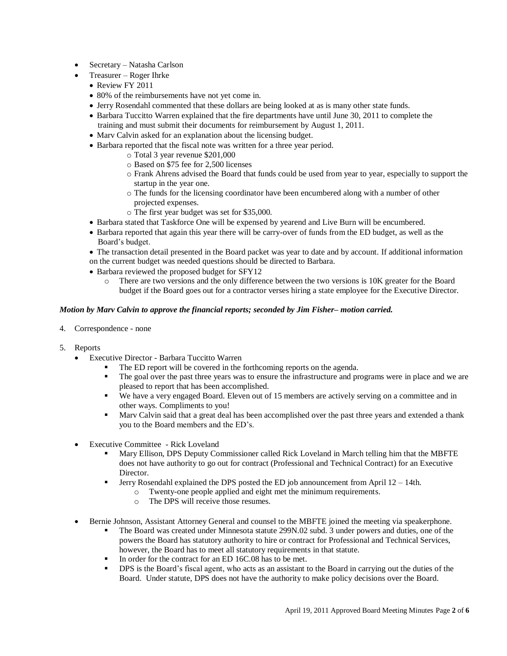- Secretary Natasha Carlson
- Treasurer Roger Ihrke
	- Review FY 2011
	- 80% of the reimbursements have not yet come in.
	- Jerry Rosendahl commented that these dollars are being looked at as is many other state funds.
	- Barbara Tuccitto Warren explained that the fire departments have until June 30, 2011 to complete the training and must submit their documents for reimbursement by August 1, 2011.
	- Marv Calvin asked for an explanation about the licensing budget.
	- Barbara reported that the fiscal note was written for a three year period.
		- o Total 3 year revenue \$201,000
		- o Based on \$75 fee for 2,500 licenses
		- o Frank Ahrens advised the Board that funds could be used from year to year, especially to support the startup in the year one.
		- o The funds for the licensing coordinator have been encumbered along with a number of other projected expenses.
		- o The first year budget was set for \$35,000.
	- Barbara stated that Taskforce One will be expensed by yearend and Live Burn will be encumbered.
	- Barbara reported that again this year there will be carry-over of funds from the ED budget, as well as the Board's budget.
	- The transaction detail presented in the Board packet was year to date and by account. If additional information on the current budget was needed questions should be directed to Barbara.
	- Barbara reviewed the proposed budget for SFY12
		- o There are two versions and the only difference between the two versions is 10K greater for the Board budget if the Board goes out for a contractor verses hiring a state employee for the Executive Director.

### *Motion by Marv Calvin to approve the financial reports; seconded by Jim Fisher– motion carried.*

- 4. Correspondence none
- 5. Reports
	- Executive Director Barbara Tuccitto Warren
		- The ED report will be covered in the forthcoming reports on the agenda.
		- The goal over the past three years was to ensure the infrastructure and programs were in place and we are pleased to report that has been accomplished.
		- We have a very engaged Board. Eleven out of 15 members are actively serving on a committee and in other ways. Compliments to you!
		- Marv Calvin said that a great deal has been accomplished over the past three years and extended a thank you to the Board members and the ED's.
	- Executive Committee Rick Loveland
		- Mary Ellison, DPS Deputy Commissioner called Rick Loveland in March telling him that the MBFTE does not have authority to go out for contract (Professional and Technical Contract) for an Executive Director.
		- Figure 1 Jerry Rosendahl explained the DPS posted the ED job announcement from April  $12 14$ th.
			- o Twenty-one people applied and eight met the minimum requirements.
			- o The DPS will receive those resumes.
		- Bernie Johnson, Assistant Attorney General and counsel to the MBFTE joined the meeting via speakerphone.
			- The Board was created under Minnesota statute 299N.02 subd. 3 under powers and duties, one of the powers the Board has statutory authority to hire or contract for Professional and Technical Services, however, the Board has to meet all statutory requirements in that statute.
			- In order for the contract for an ED 16C.08 has to be met.
			- DPS is the Board's fiscal agent, who acts as an assistant to the Board in carrying out the duties of the Board. Under statute, DPS does not have the authority to make policy decisions over the Board.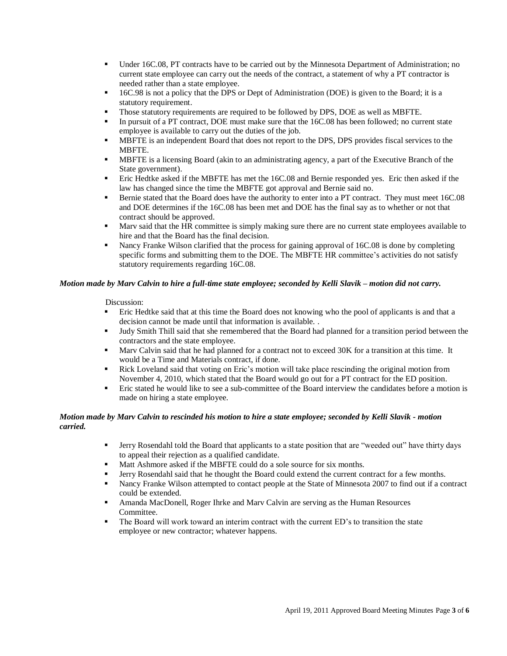- Under 16C.08, PT contracts have to be carried out by the Minnesota Department of Administration; no current state employee can carry out the needs of the contract, a statement of why a PT contractor is needed rather than a state employee.
- 16C.98 is not a policy that the DPS or Dept of Administration (DOE) is given to the Board; it is a statutory requirement.
- Those statutory requirements are required to be followed by DPS, DOE as well as MBFTE.
- In pursuit of a PT contract, DOE must make sure that the 16C.08 has been followed; no current state employee is available to carry out the duties of the job.
- **MBFTE** is an independent Board that does not report to the DPS, DPS provides fiscal services to the MBFTE.
- MBFTE is a licensing Board (akin to an administrating agency, a part of the Executive Branch of the State government).
- Eric Hedtke asked if the MBFTE has met the 16C.08 and Bernie responded yes. Eric then asked if the law has changed since the time the MBFTE got approval and Bernie said no.
- Bernie stated that the Board does have the authority to enter into a PT contract. They must meet 16C.08 and DOE determines if the 16C.08 has been met and DOE has the final say as to whether or not that contract should be approved.
- **Mary said that the HR committee is simply making sure there are no current state employees available to** hire and that the Board has the final decision.
- Nancy Franke Wilson clarified that the process for gaining approval of 16C.08 is done by completing specific forms and submitting them to the DOE. The MBFTE HR committee's activities do not satisfy statutory requirements regarding 16C.08.

# *Motion made by Marv Calvin to hire a full-time state employee; seconded by Kelli Slavik – motion did not carry.*

## Discussion:

- Eric Hedtke said that at this time the Board does not knowing who the pool of applicants is and that a decision cannot be made until that information is available. .
- Judy Smith Thill said that she remembered that the Board had planned for a transition period between the contractors and the state employee.
- Marv Calvin said that he had planned for a contract not to exceed 30K for a transition at this time. It would be a Time and Materials contract, if done.
- Rick Loveland said that voting on Eric's motion will take place rescinding the original motion from November 4, 2010, which stated that the Board would go out for a PT contract for the ED position.
- Eric stated he would like to see a sub-committee of the Board interview the candidates before a motion is made on hiring a state employee.

# *Motion made by Marv Calvin to rescinded his motion to hire a state employee; seconded by Kelli Slavik - motion carried.*

- Jerry Rosendahl told the Board that applicants to a state position that are "weeded out" have thirty days to appeal their rejection as a qualified candidate.
- Matt Ashmore asked if the MBFTE could do a sole source for six months.
- Jerry Rosendahl said that he thought the Board could extend the current contract for a few months.
- Nancy Franke Wilson attempted to contact people at the State of Minnesota 2007 to find out if a contract could be extended.
- Amanda MacDonell, Roger Ihrke and Marv Calvin are serving as the Human Resources Committee.
- The Board will work toward an interim contract with the current ED's to transition the state employee or new contractor; whatever happens.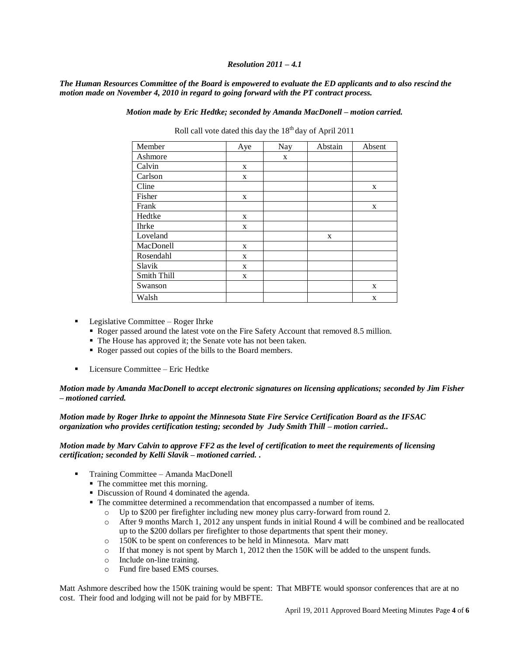### *Resolution 2011 – 4.1*

### *The Human Resources Committee of the Board is empowered to evaluate the ED applicants and to also rescind the motion made on November 4, 2010 in regard to going forward with the PT contract process.*

*Motion made by Eric Hedtke; seconded by Amanda MacDonell – motion carried.*

| Member       | Aye | Nay | Abstain | Absent |
|--------------|-----|-----|---------|--------|
| Ashmore      |     | X   |         |        |
| Calvin       | X   |     |         |        |
| Carlson      | X   |     |         |        |
| Cline        |     |     |         | X      |
| Fisher       | X   |     |         |        |
| Frank        |     |     |         | X      |
| Hedtke       | X   |     |         |        |
| <b>Ihrke</b> | X   |     |         |        |
| Loveland     |     |     | X       |        |
| MacDonell    | X   |     |         |        |
| Rosendahl    | X   |     |         |        |
| Slavik       | X   |     |         |        |
| Smith Thill  | X   |     |         |        |
| Swanson      |     |     |         | X      |
| Walsh        |     |     |         | X      |

Roll call vote dated this day the  $18<sup>th</sup>$  day of April 2011

- Legislative Committee Roger Ihrke
	- Roger passed around the latest vote on the Fire Safety Account that removed 8.5 million.
	- The House has approved it; the Senate vote has not been taken.
	- Roger passed out copies of the bills to the Board members.
- Licensure Committee Eric Hedtke

#### *Motion made by Amanda MacDonell to accept electronic signatures on licensing applications; seconded by Jim Fisher – motioned carried.*

*Motion made by Roger Ihrke to appoint the Minnesota State Fire Service Certification Board as the IFSAC organization who provides certification testing; seconded by Judy Smith Thill – motion carried..* 

### *Motion made by Marv Calvin to approve FF2 as the level of certification to meet the requirements of licensing certification; seconded by Kelli Slavik – motioned carried. .*

- Training Committee Amanda MacDonell
	- The committee met this morning.
	- Discussion of Round 4 dominated the agenda.
	- The committee determined a recommendation that encompassed a number of items.
		- o Up to \$200 per firefighter including new money plus carry-forward from round 2.
		- o After 9 months March 1, 2012 any unspent funds in initial Round 4 will be combined and be reallocated up to the \$200 dollars per firefighter to those departments that spent their money.
		- o 150K to be spent on conferences to be held in Minnesota. Marv matt
		- o If that money is not spent by March 1, 2012 then the 150K will be added to the unspent funds.
		- o Include on-line training.
		- o Fund fire based EMS courses.

Matt Ashmore described how the 150K training would be spent: That MBFTE would sponsor conferences that are at no cost. Their food and lodging will not be paid for by MBFTE.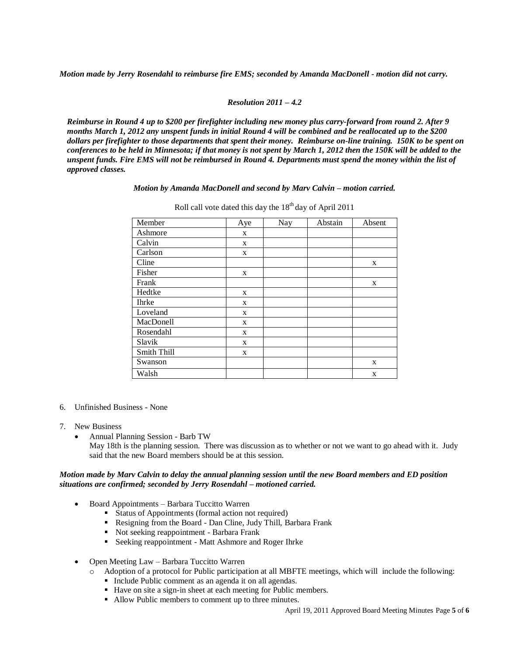*Motion made by Jerry Rosendahl to reimburse fire EMS; seconded by Amanda MacDonell - motion did not carry.*

#### *Resolution 2011 – 4.2*

*Reimburse in Round 4 up to \$200 per firefighter including new money plus carry-forward from round 2. After 9 months March 1, 2012 any unspent funds in initial Round 4 will be combined and be reallocated up to the \$200* dollars per firefighter to those departments that spent their money. Reimburse on-line training. 150K to be spent on *conferences to be held in Minnesota; if that money is not spent by March 1, 2012 then the 150K will be added to the unspent funds. Fire EMS will not be reimbursed in Round 4. Departments must spend the money within the list of approved classes.* 

#### *Motion by Amanda MacDonell and second by Marv Calvin – motion carried.*

| Member       | Aye | Nay | Abstain | Absent |
|--------------|-----|-----|---------|--------|
| Ashmore      | X   |     |         |        |
| Calvin       | X   |     |         |        |
| Carlson      | X   |     |         |        |
| Cline        |     |     |         | X      |
| Fisher       | X   |     |         |        |
| Frank        |     |     |         | X      |
| Hedtke       | X   |     |         |        |
| <b>Ihrke</b> | X   |     |         |        |
| Loveland     | X   |     |         |        |
| MacDonell    | X   |     |         |        |
| Rosendahl    | X   |     |         |        |
| Slavik       | X   |     |         |        |
| Smith Thill  | X   |     |         |        |
| Swanson      |     |     |         | X      |
| Walsh        |     |     |         | X      |

Roll call vote dated this day the  $18<sup>th</sup>$  day of April 2011

- 6. Unfinished Business None
- 7. New Business
	- Annual Planning Session Barb TW May 18th is the planning session. There was discussion as to whether or not we want to go ahead with it. Judy said that the new Board members should be at this session.

### *Motion made by Marv Calvin to delay the annual planning session until the new Board members and ED position situations are confirmed; seconded by Jerry Rosendahl – motioned carried.*

- Board Appointments Barbara Tuccitto Warren
	- Status of Appointments (formal action not required)
	- Resigning from the Board Dan Cline, Judy Thill, Barbara Frank
	- Not seeking reappointment Barbara Frank
	- Seeking reappointment Matt Ashmore and Roger Ihrke
- Open Meeting Law Barbara Tuccitto Warren
	- o Adoption of a protocol for Public participation at all MBFTE meetings, which will include the following:
		- Include Public comment as an agenda it on all agendas.
		- Have on site a sign-in sheet at each meeting for Public members.
		- Allow Public members to comment up to three minutes.